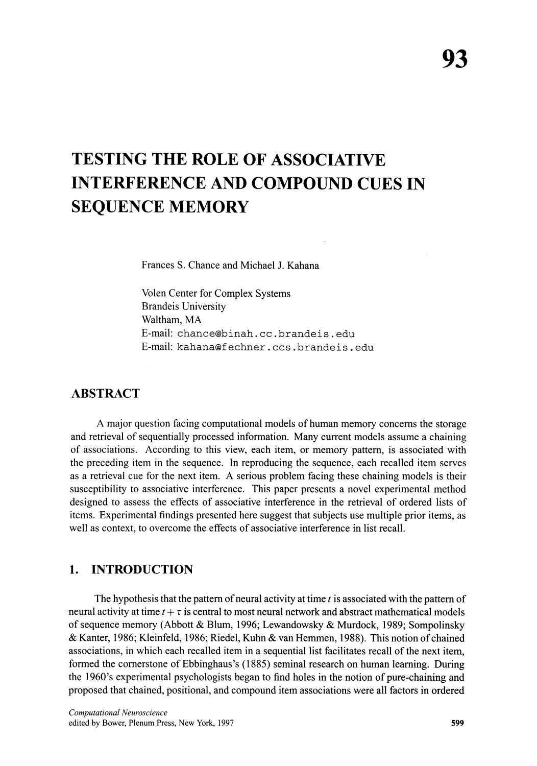# **TESTING THE ROLE OF ASSOCIATIVE INTERFERENCE AND COMPOUND CUES IN SEQUENCE MEMORY**

Frances S. Chance and Michael J. Kahana

Volen Center for Complex Systems Brandeis University Waltham, MA E-mail: chance@binah.cc . brandei s . edu E-mail: kahana@fechner.ccs.brandeis.edu

# **ABSTRACT**

A major question facing computational models of human memory concerns the storage and retrieval of sequentially processed information. Many current models assume a chaining of associations. According to this view, each item, or memory pattern, is associated with the preceding item in the sequence. In reproducing the sequence, each recalled item serves as a retrieval cue for the next item. A serious problem facing these chaining models is their susceptibility to associative interference. This paper presents a novel experimental method designed to assess the effects of associative interference in the retrieval of ordered lists of items. Experimental findings presented here suggest that subjects use multiple prior items, as well as context, to overcome the effects of associative interference in list recall.

#### **1. INTRODUCTION**

The hypothesis that the pattern of neural activity at time *t* is associated with the pattern of neural activity at time  $t + \tau$  is central to most neural network and abstract mathematical models of sequence memory (Abbott & Blum, 1996; Lewandowsky & Murdock, 1989; Sompolinsky & Kanter, 1986; Kleinfeld, 1986; Riedel, Kuhn & van Hemmen, 1988). This notion of chained associations, in which each recalled item in a sequential list facilitates recall of the next item, formed the cornerstone of Ebbinghaus's (1885) seminal research on human learning. During the 1960's experimental psychologists began to find holes in the notion of pure-chaining and proposed that chained, positional, and compound item associations were all factors in ordered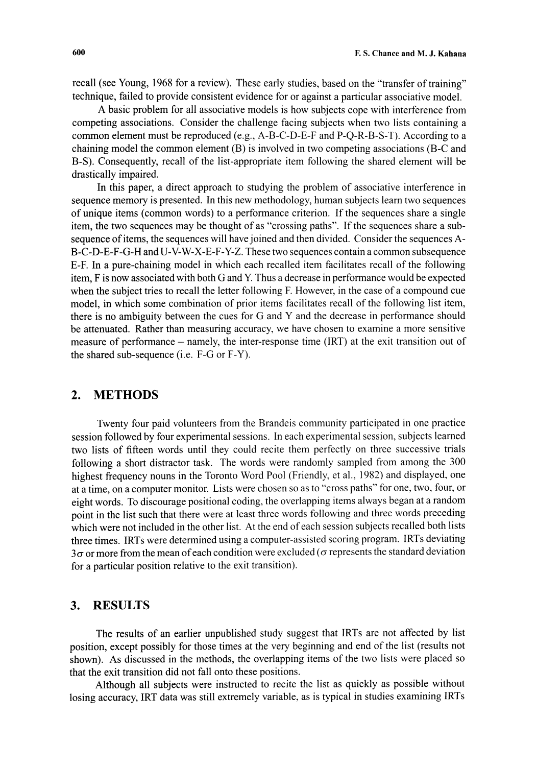recall (see Young, 1968 for a review). These early studies, based on the "transfer of training" technique, failed to provide consistent evidence for or against a particular associative model.

A basic problem for all associative models is how subjects cope with interference from competing associations. Consider the challenge facing subjects when two lists containing a common element must be reproduced (e.g., A-B-C-D-E-F and P-Q-R-B-S-T). According to a chaining model the common element (B) is involved in two competing associations (B-C and B-S). Consequently, recall of the list-appropriate item following the shared element will be drastically impaired.

In this paper, a direct approach to studying the problem of associative interference in sequence memory is presented. In this new methodology, human subjects learn two sequences of unique items (common words) to a performance criterion. If the sequences share a single item, the two sequences may be thought of as "crossing paths". If the sequences share a subsequence of items, the sequences will have joined and then divided. Consider the sequences A-B-C-D-E-F-G-H and U-v-W-X -E-F -Y-Z. These two sequences contain a common subsequence E-F. In a pure-chaining model in which each recalled item facilitates recall of the following item, F is now associated with both G and Y. Thus a decrease in performance would be expected when the subject tries to recall the letter following F. However, in the case of a compound cue model, in which some combination of prior items facilitates recall of the following list item, there is no ambiguity between the cues for G and Y and the decrease in performance should be attenuated. Rather than measuring accuracy, we have chosen to examine a more sensitive measure of performance - namely, the inter-response time (IRT) at the exit transition out of the shared sub-sequence (i.e. F-G or F-Y).

#### **2. METHODS**

Twenty four paid volunteers from the Brandeis community participated in one practice session followed by four experimental sessions. In each experimental session, subjects learned two lists of fifteen words until they could recite them perfectly on three successive trials following a short distractor task. The words were randomly sampled from among the 300 highest frequency nouns in the Toronto Word Pool (Friendly, et aI., 1982) and displayed, one at a time, on a computer monitor. Lists were chosen so as to "cross paths" for one, two, four, or eight words. To discourage positional coding, the overlapping items always began at a random point in the list such that there were at least three words following and three words preceding which were not included in the other list. At the end of each session subjects recalled both lists three times. IRTs were determined using a computer-assisted scoring program. IRTs deviating  $3\sigma$  or more from the mean of each condition were excluded ( $\sigma$  represents the standard deviation for a particular position relative to the exit transition).

### **3. RESULTS**

The results of an earlier unpublished study suggest that IRTs are not affected by list position, except possibly for those times at the very beginning and end of the list (results not shown). As discussed in the methods, the overlapping items of the two lists were placed so that the exit transition did not fall onto these positions.

Although all subjects were instructed to recite the list as quickly as possible without losing accuracy, IRT data was still extremely variable, as is typical in studies examining IRTs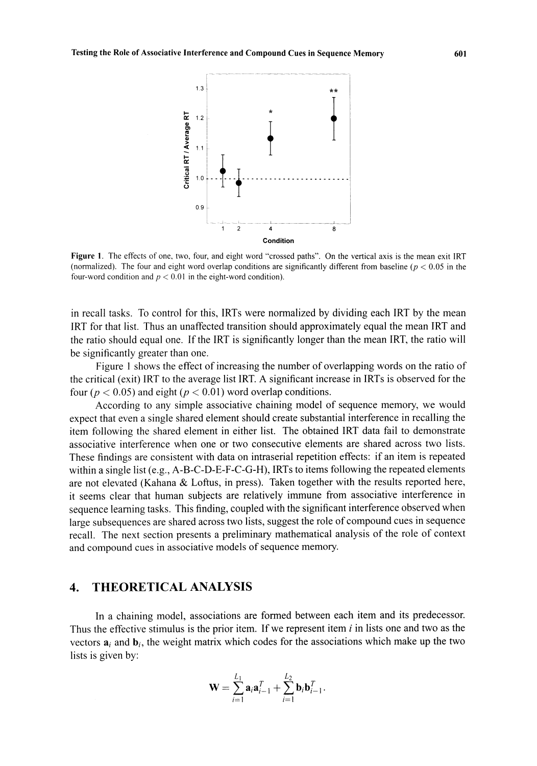

Figure 1. The effects of one, two, four, and eight word "crossed paths". On the vertical axis is the mean exit IRT (normalized). The four and eight word overlap conditions are significantly different from baseline  $(p < 0.05$  in the four-word condition and  $p < 0.01$  in the eight-word condition).

in recall tasks. To control for this, IRTs were normalized by dividing each IRT by the mean IRT for that list. Thus an unaffected transition should approximately equal the mean IRT and the ratio should equal one. If the IRT is significantly longer than the mean IRT, the ratio will be significantly greater than one.

Figure 1 shows the effect of increasing the number of overlapping words on the ratio of the critical (exit) IRT to the average list IRT. A significant increase in IRTs is observed for the four  $(p < 0.05)$  and eight  $(p < 0.01)$  word overlap conditions.

According to any simple associative chaining model of sequence memory, we would expect that even a single shared element should create substantial interference in recalling the item following the shared element in either list. The obtained IRT data fail to demonstrate associative interference when one or two consecutive elements are shared across two lists. These findings are consistent with data on intraserial repetition effects: if an item is repeated within a single list (e.g., A-B-C-D-E-F-C-G-H), IRTs to items following the repeated elements are not elevated (Kahana & Loftus, in press). Taken together with the results reported here, it seems clear that human subjects are relatively immune from associative interference in sequence learning tasks. This finding, coupled with the significant interference observed when large subsequences are shared across two lists, suggest the role of compound cues in sequence recall. The next section presents a preliminary mathematical analysis of the role of context and compound cues in associative models of sequence memory.

# 4. THEORETICAL ANALYSIS

In a chaining model, associations are formed between each item and its predecessor. Thus the effective stimulus is the prior item. If we represent item  $i$  in lists one and two as the vectors  $a_i$  and  $b_i$ , the weight matrix which codes for the associations which make up the two lists is given by:

$$
\mathbf{W} = \sum_{i=1}^{L_1} \mathbf{a}_i \mathbf{a}_{i-1}^T + \sum_{i=1}^{L_2} \mathbf{b}_i \mathbf{b}_{i-1}^T.
$$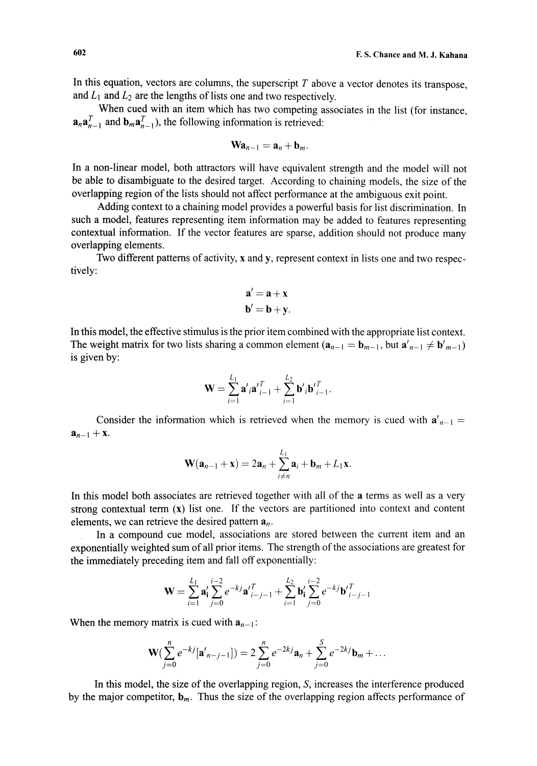In this equation, vectors are columns, the superscript  $T$  above a vector denotes its transpose, and  $L_1$  and  $L_2$  are the lengths of lists one and two respectively.

When cued with an item which has two competing associates in the list (for instance,  $\mathbf{a}_n \mathbf{a}_{n-1}^T$  and  $\mathbf{b}_m \mathbf{a}_{n-1}^T$ ), the following information is retrieved:

$$
\mathbf{W}\mathbf{a}_{n-1} = \mathbf{a}_n + \mathbf{b}_m
$$

In a non-linear model, both attractors will have equivalent strength and the model will not be able to disambiguate to the desired target. According to chaining models, the size of the overlapping region of the lists should not affect performance at the ambiguous exit point.

Adding context to a chaining model provides a powerful basis for list discrimination. In such a model, features representing item information may be added to features representing contextual information. If the vector features are sparse, addition should not produce many overlapping elements.

Two different patterns of activity, x and y, represent context in lists one and two respectively:

$$
a' = a + x
$$
  

$$
b' = b + y.
$$

In this model, the effective stimulus is the prior item combined with the appropriate list context. The weight matrix for two lists sharing a common element  $(a_{n-1} = b_{m-1},$  but  $a'_{n-1} \neq b'_{m-1}$ ) is given by:

$$
\mathbf{W} = \sum_{i=1}^{L_1} \mathbf{a'}_i \mathbf{a'}_{i-1}^T + \sum_{i=1}^{L_2} \mathbf{b'}_i \mathbf{b'}_{i-1}^T.
$$

Consider the information which is retrieved when the memory is cued with  $a'_{n-1}$  =  $a_{n-1} + x$ .

$$
\mathbf{W}(\mathbf{a}_{n-1}+\mathbf{x})=2\mathbf{a}_n+\sum_{i\neq n}^{L_1}\mathbf{a}_i+\mathbf{b}_m+L_1\mathbf{x}.
$$

In this model both associates are retrieved together with all of the a terms as well as a very strong contextual term  $(x)$  list one. If the vectors are partitioned into context and content elements, we can retrieve the desired pattern *an.* 

In a compound cue model, associations are stored between the current item and an exponentially weighted sum of all prior items. The strength of the associations are greatest for the immediately preceding item and fall off exponentially:

$$
\mathbf{W} = \sum_{i=1}^{L_1} \mathbf{a}_i' \sum_{j=0}^{i-2} e^{-kj} \mathbf{a'}_{i-j-1}^T + \sum_{i=1}^{L_2} \mathbf{b}_i' \sum_{j=0}^{i-2} e^{-kj} \mathbf{b'}_{i-j-1}^T
$$

When the memory matrix is cued with  $a_{n-1}$ :

$$
\mathbf{W}(\sum_{j=0}^{n}e^{-kj}[\mathbf{a'}_{n-j-1}])=2\sum_{j=0}^{n}e^{-2kj}\mathbf{a}_{n}+\sum_{j=0}^{S}e^{-2kj}\mathbf{b}_{m}+\ldots
$$

In this model, the size of the overlapping region, S, increases the interference produced by the major competitor,  $\mathbf{b}_m$ . Thus the size of the overlapping region affects performance of